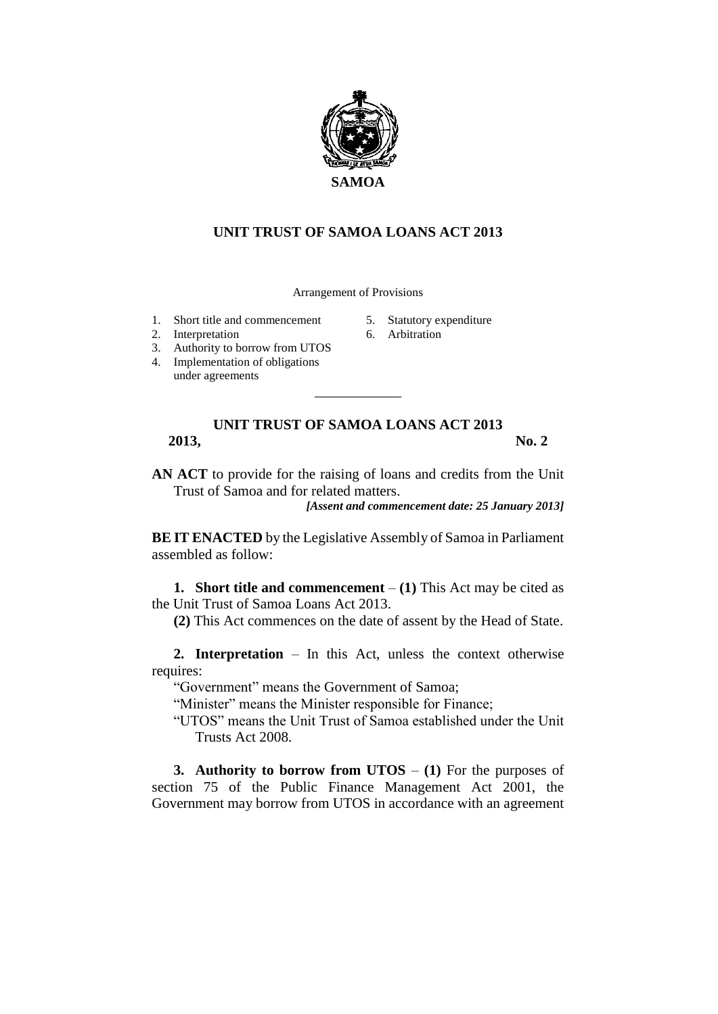

## **UNIT TRUST OF SAMOA LOANS ACT 2013**

Arrangement of Provisions

- 1. Short title and commencement
- 2. Interpretation
- 3. Authority to borrow from UTOS
- 4. Implementation of obligations under agreements
- 5. Statutory expenditure
- 6. Arbitration

## **UNIT TRUST OF SAMOA LOANS ACT 2013 2013, No. 2**

\_\_\_\_\_\_\_\_\_\_\_\_

**AN ACT** to provide for the raising of loans and credits from the Unit Trust of Samoa and for related matters.

*[Assent and commencement date: 25 January 2013]*

**BE IT ENACTED** by the Legislative Assembly of Samoa in Parliament assembled as follow:

**1. Short title and commencement** – **(1)** This Act may be cited as the Unit Trust of Samoa Loans Act 2013.

**(2)** This Act commences on the date of assent by the Head of State.

**2. Interpretation** – In this Act, unless the context otherwise requires:

"Government" means the Government of Samoa;

"Minister" means the Minister responsible for Finance;

"UTOS" means the Unit Trust of Samoa established under the Unit Trusts Act 2008.

**3. Authority to borrow from UTOS** – **(1)** For the purposes of section 75 of the Public Finance Management Act 2001, the Government may borrow from UTOS in accordance with an agreement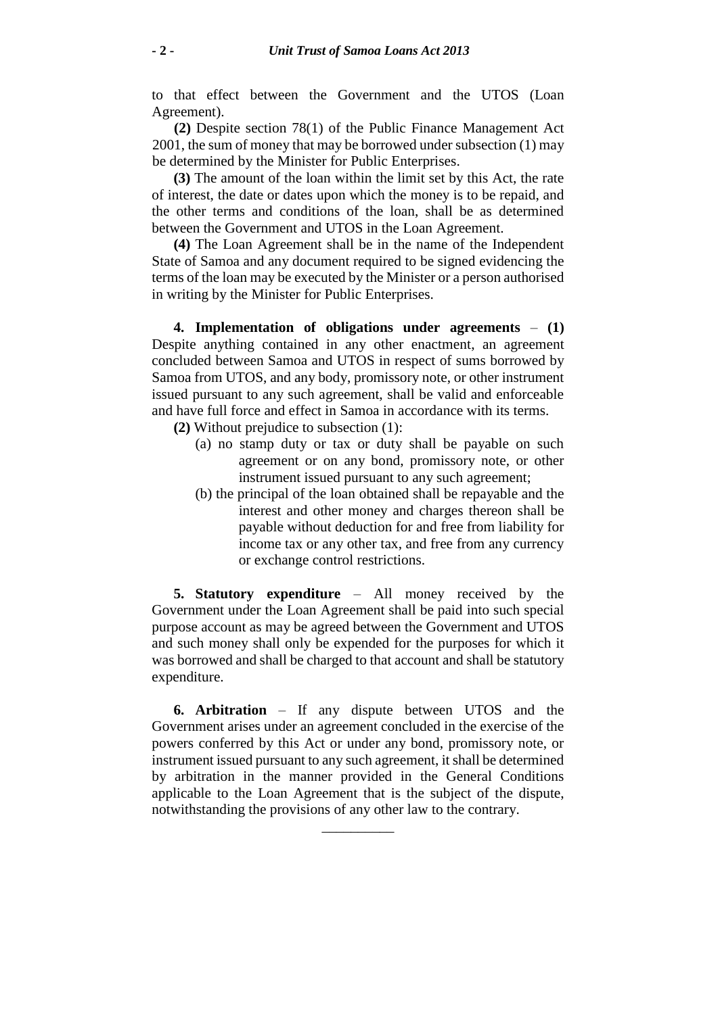to that effect between the Government and the UTOS (Loan Agreement).

**(2)** Despite section 78(1) of the Public Finance Management Act 2001, the sum of money that may be borrowed under subsection (1) may be determined by the Minister for Public Enterprises.

**(3)** The amount of the loan within the limit set by this Act, the rate of interest, the date or dates upon which the money is to be repaid, and the other terms and conditions of the loan, shall be as determined between the Government and UTOS in the Loan Agreement.

**(4)** The Loan Agreement shall be in the name of the Independent State of Samoa and any document required to be signed evidencing the terms of the loan may be executed by the Minister or a person authorised in writing by the Minister for Public Enterprises.

**4. Implementation of obligations under agreements** – **(1)** Despite anything contained in any other enactment, an agreement concluded between Samoa and UTOS in respect of sums borrowed by Samoa from UTOS, and any body, promissory note, or other instrument issued pursuant to any such agreement, shall be valid and enforceable and have full force and effect in Samoa in accordance with its terms.

**(2)** Without prejudice to subsection (1):

- (a) no stamp duty or tax or duty shall be payable on such agreement or on any bond, promissory note, or other instrument issued pursuant to any such agreement;
- (b) the principal of the loan obtained shall be repayable and the interest and other money and charges thereon shall be payable without deduction for and free from liability for income tax or any other tax, and free from any currency or exchange control restrictions.

**5. Statutory expenditure** – All money received by the Government under the Loan Agreement shall be paid into such special purpose account as may be agreed between the Government and UTOS and such money shall only be expended for the purposes for which it was borrowed and shall be charged to that account and shall be statutory expenditure.

**6. Arbitration** – If any dispute between UTOS and the Government arises under an agreement concluded in the exercise of the powers conferred by this Act or under any bond, promissory note, or instrument issued pursuant to any such agreement, it shall be determined by arbitration in the manner provided in the General Conditions applicable to the Loan Agreement that is the subject of the dispute, notwithstanding the provisions of any other law to the contrary.

\_\_\_\_\_\_\_\_\_\_